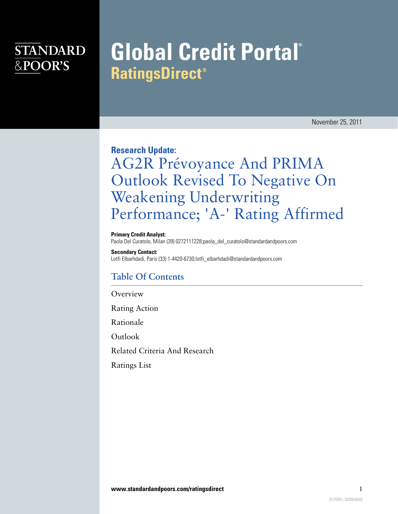### **STANDARD** &POOR'S

# **Global Credit Portal® RatingsDirect®**

November 25, 2011

**Research Update:**

## AG2R Prévoyance And PRIMA Outlook Revised To Negative On Weakening Underwriting Performance; 'A-' Rating Affirmed

**Primary Credit Analyst:** Paola Del Curatolo, Milan (39) 0272111228;paola\_del\_curatolo@standardandpoors.com

**Secondary Contact:**

Lotfi Elbarhdadi, Paris (33) 1-4420-6730;lotfi\_elbarhdadi@standardandpoors.com

### **Table Of Contents**

**[Overview](#page-1-0)** 

[Rating Action](#page-1-1)

[Rationale](#page-1-2)

[Outlook](#page-2-0)

[Related Criteria And Research](#page-3-0)

[Ratings List](#page-3-1)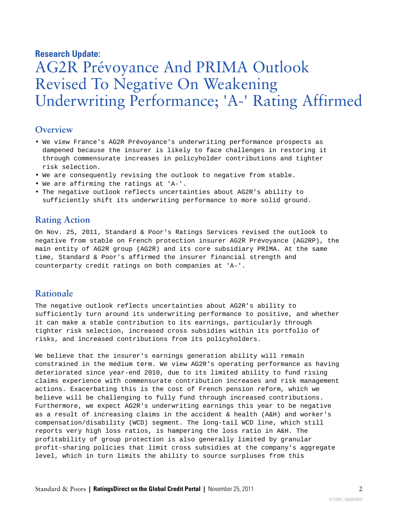#### **Research Update:**

### AG2R Prévoyance And PRIMA Outlook Revised To Negative On Weakening Underwriting Performance; 'A-' Rating Affirmed

#### <span id="page-1-0"></span>**Overview**

- We view France's AG2R Prévoyance's underwriting performance prospects as dampened because the insurer is likely to face challenges in restoring it through commensurate increases in policyholder contributions and tighter risk selection.
- We are consequently revising the outlook to negative from stable.
- We are affirming the ratings at 'A-'.
- <span id="page-1-1"></span>• The negative outlook reflects uncertainties about AG2R's ability to sufficiently shift its underwriting performance to more solid ground.

#### **Rating Action**

On Nov. 25, 2011, Standard & Poor's Ratings Services revised the outlook to negative from stable on French protection insurer AG2R Prévoyance (AG2RP), the main entity of AG2R group (AG2R) and its core subsidiary PRIMA. At the same time, Standard & Poor's affirmed the insurer financial strength and counterparty credit ratings on both companies at 'A-'.

#### <span id="page-1-2"></span>**Rationale**

The negative outlook reflects uncertainties about AG2R's ability to sufficiently turn around its underwriting performance to positive, and whether it can make a stable contribution to its earnings, particularly through tighter risk selection, increased cross subsidies within its portfolio of risks, and increased contributions from its policyholders.

We believe that the insurer's earnings generation ability will remain constrained in the medium term. We view AG2R's operating performance as having deteriorated since year-end 2010, due to its limited ability to fund rising claims experience with commensurate contribution increases and risk management actions. Exacerbating this is the cost of French pension reform, which we believe will be challenging to fully fund through increased contributions. Furthermore, we expect AG2R's underwriting earnings this year to be negative as a result of increasing claims in the accident & health (A&H) and worker's compensation/disability (WCD) segment. The long-tail WCD line, which still reports very high loss ratios, is hampering the loss ratio in A&H. The profitability of group protection is also generally limited by granular profit-sharing policies that limit cross subsidies at the company's aggregate level, which in turn limits the ability to source surpluses from this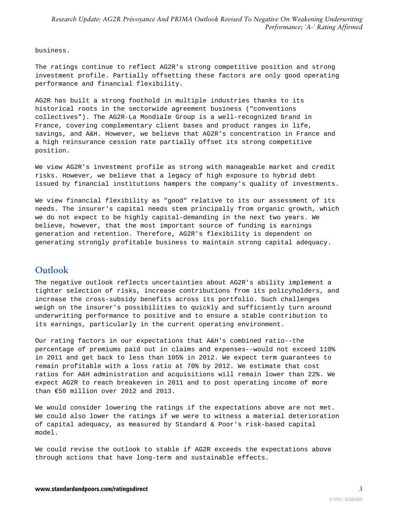business.

The ratings continue to reflect AG2R's strong competitive position and strong investment profile. Partially offsetting these factors are only good operating performance and financial flexibility.

AG2R has built a strong foothold in multiple industries thanks to its historical roots in the sectorwide agreement business ("conventions collectives"). The AG2R-La Mondiale Group is a well-recognized brand in France, covering complementary client bases and product ranges in life, savings, and A&H. However, we believe that AG2R's concentration in France and a high reinsurance cession rate partially offset its strong competitive position.

We view AG2R's investment profile as strong with manageable market and credit risks. However, we believe that a legacy of high exposure to hybrid debt issued by financial institutions hampers the company's quality of investments.

We view financial flexibility as "good" relative to its our assessment of its needs. The insurer's capital needs stem principally from organic growth, which we do not expect to be highly capital-demanding in the next two years. We believe, however, that the most important source of funding is earnings generation and retention. Therefore, AG2R's flexibility is dependent on generating strongly profitable business to maintain strong capital adequacy.

#### <span id="page-2-0"></span>**Outlook**

The negative outlook reflects uncertainties about AG2R's ability implement a tighter selection of risks, increase contributions from its policyholders, and increase the cross-subsidy benefits across its portfolio. Such challenges weigh on the insurer's possibilities to quickly and sufficiently turn around underwriting performance to positive and to ensure a stable contribution to its earnings, particularly in the current operating environment.

Our rating factors in our expectations that A&H's combined ratio--the percentage of premiums paid out in claims and expenses--would not exceed 110% in 2011 and get back to less than 105% in 2012. We expect term guarantees to remain profitable with a loss ratio at 70% by 2012. We estimate that cost ratios for A&H administration and acquisitions will remain lower than 22%. We expect AG2R to reach breakeven in 2011 and to post operating income of more than €50 million over 2012 and 2013.

We would consider lowering the ratings if the expectations above are not met. We could also lower the ratings if we were to witness a material deterioration of capital adequacy, as measured by Standard & Poor's risk-based capital model.

We could revise the outlook to stable if AG2R exceeds the expectations above through actions that have long-term and sustainable effects.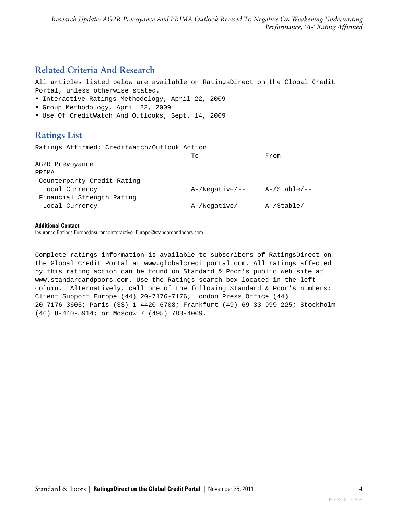### <span id="page-3-0"></span>**Related Criteria And Research**

All articles listed below are available on RatingsDirect on the Global Credit Portal, unless otherwise stated.

- Interactive Ratings Methodology, April 22, 2009
- Group Methodology, April 22, 2009
- <span id="page-3-1"></span>• Use Of CreditWatch And Outlooks, Sept. 14, 2009

#### **Ratings List**

Ratings Affirmed; CreditWatch/Outlook Action

|                            | To                | From            |
|----------------------------|-------------------|-----------------|
| AG2R Prevoyance            |                   |                 |
| PRIMA                      |                   |                 |
| Counterparty Credit Rating |                   |                 |
| Local Currency             | A-/Negative/--    | A-/Stable/--    |
| Financial Strength Rating  |                   |                 |
| Local Currency             | $A$ -/Negative/-- | $A$ -/Stable/-- |

#### **Additional Contact:**

Insurance Ratings Europe;InsuranceInteractive\_Europe@standardandpoors.com

Complete ratings information is available to subscribers of RatingsDirect on the Global Credit Portal at www.globalcreditportal.com. All ratings affected by this rating action can be found on Standard & Poor's public Web site at www.standardandpoors.com. Use the Ratings search box located in the left column. Alternatively, call one of the following Standard & Poor's numbers: Client Support Europe (44) 20-7176-7176; London Press Office (44) 20-7176-3605; Paris (33) 1-4420-6708; Frankfurt (49) 69-33-999-225; Stockholm (46) 8-440-5914; or Moscow 7 (495) 783-4009.